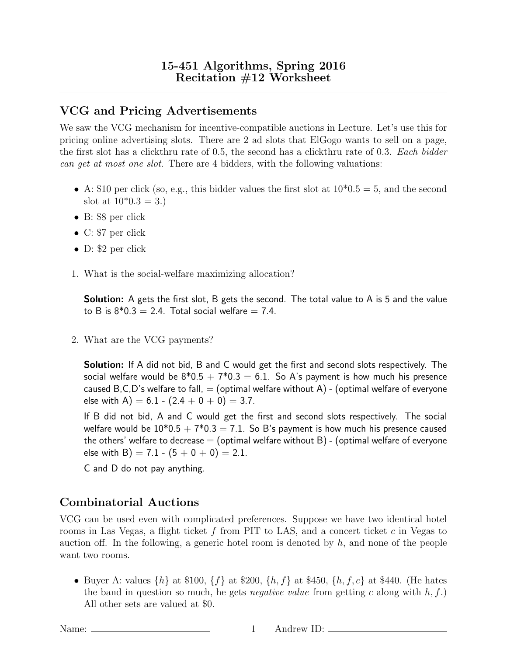## VCG and Pricing Advertisements

We saw the VCG mechanism for incentive-compatible auctions in Lecture. Let's use this for pricing online advertising slots. There are 2 ad slots that ElGogo wants to sell on a page, the first slot has a clickthru rate of 0.5, the second has a clickthru rate of 0.3. Each bidder can get at most one slot. There are 4 bidders, with the following valuations:

- A: \$10 per click (so, e.g., this bidder values the first slot at  $10*0.5 = 5$ , and the second slot at  $10*0.3 = 3.$
- B: \$8 per click
- C: \$7 per click
- D: \$2 per click
- 1. What is the social-welfare maximizing allocation?

**Solution:** A gets the first slot, B gets the second. The total value to A is 5 and the value to B is  $8*0.3 = 2.4$ . Total social welfare  $= 7.4$ .

2. What are the VCG payments?

**Solution:** If A did not bid, B and C would get the first and second slots respectively. The social welfare would be  $8*0.5 + 7*0.3 = 6.1$ . So A's payment is how much his presence caused B, C, D's welfare to fall,  $=$  (optimal welfare without A) - (optimal welfare of everyone else with A) =  $6.1 - (2.4 + 0 + 0) = 3.7$ .

If B did not bid, A and C would get the first and second slots respectively. The social welfare would be  $10*0.5 + 7*0.3 = 7.1$ . So B's payment is how much his presence caused the others' welfare to decrease  $=$  (optimal welfare without B) - (optimal welfare of everyone else with B) =  $7.1 - (5 + 0 + 0) = 2.1$ .

C and D do not pay anything.

## Combinatorial Auctions

VCG can be used even with complicated preferences. Suppose we have two identical hotel rooms in Las Vegas, a flight ticket f from PIT to LAS, and a concert ticket c in Vegas to auction off. In the following, a generic hotel room is denoted by  $h$ , and none of the people want two rooms.

• Buyer A: values  $\{h\}$  at \$100,  $\{f\}$  at \$200,  $\{h, f\}$  at \$450,  $\{h, f, c\}$  at \$440. (He hates the band in question so much, he gets *negative value* from getting c along with  $h, f$ .) All other sets are valued at \$0.

Name: 1 Andrew ID: